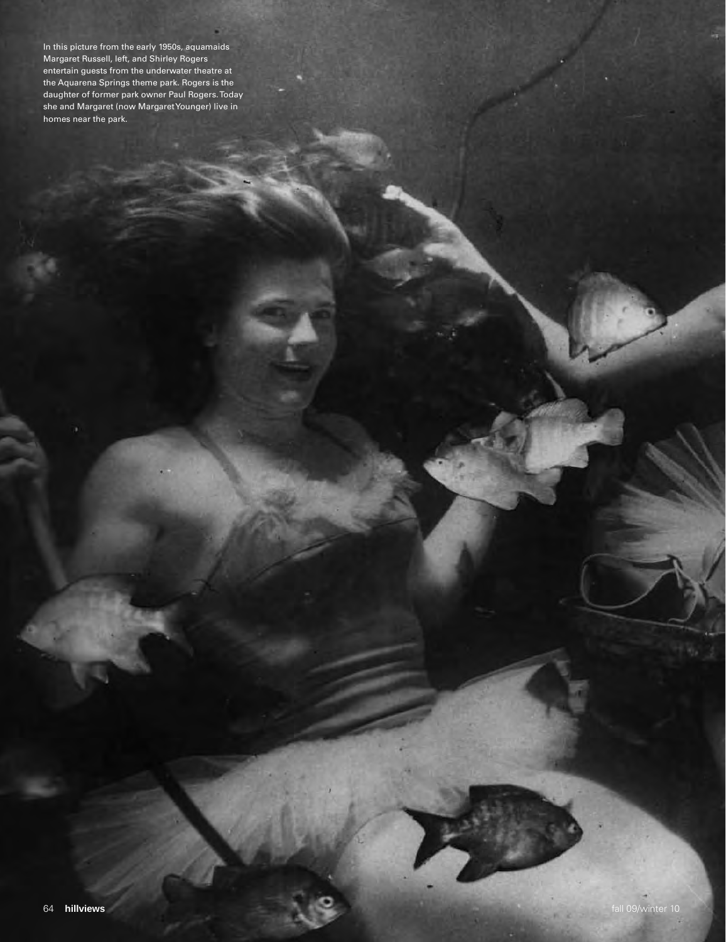In this picture from the early 1950s, aquamaids Margaret Russell, left, and Shirley Rogers entertain guests from the underwater theatre at the Aquarena Springs theme park. Rogers is the daughter of former park owner Paul Rogers. Today she and Margaret (now Margaret Younger) live in homes near the park.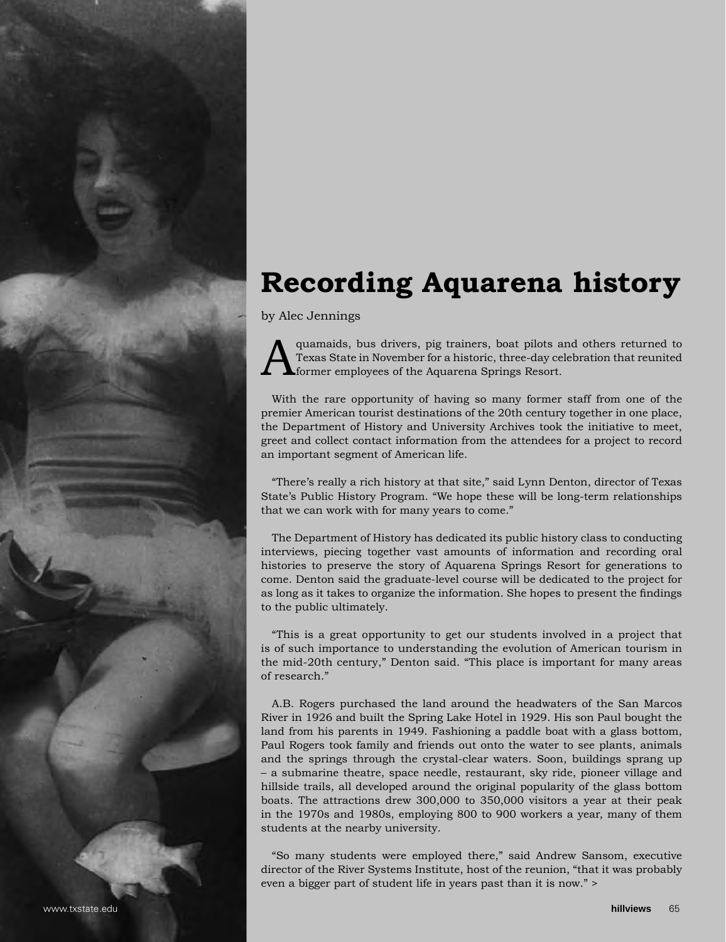## **Recording Aquarena history**

by Alec Jennings

quamaids, bus drivers, pig trainers, boat pilots and others returned to Texas State in November for a historic, three-day celebration that reunited former employees of the Aquarena Springs Resort.

With the rare opportunity of having so many former staff from one of the premier American tourist destinations of the 20th century together in one place, the Department of History and University Archives took the initiative to meet, greet and collect contact information from the attendees for a project to record an important segment of American life.

"There's really a rich history at that site," said Lynn Denton, director of Texas State's Public History Program. "We hope these will be long-term relationships that we can work with for many years to come."

The Department of History has dedicated its public history class to conducting interviews, piecing together vast amounts of information and recording oral histories to preserve the story of Aquarena Springs Resort for generations to come. Denton said the graduate-level course will be dedicated to the project for as long as it takes to organize the information. She hopes to present the findings to the public ultimately.

"This is a great opportunity to get our students involved in a project that is of such importance to understanding the evolution of American tourism in the mid-20th century," Denton said. "This place is important for many areas of research."

A.B. Rogers purchased the land around the headwaters of the San Marcos River in 1926 and built the Spring Lake Hotel in 1929. His son Paul bought the land from his parents in 1949. Fashioning a paddle boat with a glass bottom, Paul Rogers took family and friends out onto the water to see plants, animals and the springs through the crystal-clear waters. Soon, buildings sprang up – a submarine theatre, space needle, restaurant, sky ride, pioneer village and hillside trails, all developed around the original popularity of the glass bottom boats. The attractions drew 300,000 to 350,000 visitors a year at their peak in the 1970s and 1980s, employing 800 to 900 workers a year, many of them students at the nearby university.

"So many students were employed there," said Andrew Sansom, executive director of the River Systems Institute, host of the reunion, "that it was probably even a bigger part of student life in years past than it is now." >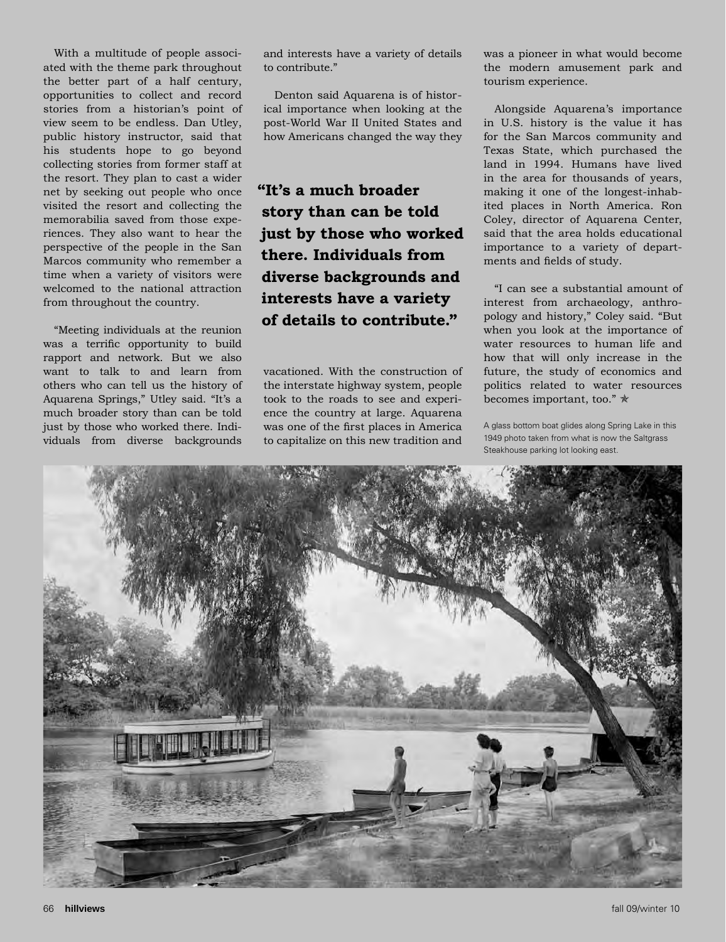With a multitude of people associated with the theme park throughout the better part of a half century, opportunities to collect and record stories from a historian's point of view seem to be endless. Dan Utley, public history instructor, said that his students hope to go beyond collecting stories from former staff at the resort. They plan to cast a wider net by seeking out people who once visited the resort and collecting the memorabilia saved from those experiences. They also want to hear the perspective of the people in the San Marcos community who remember a time when a variety of visitors were welcomed to the national attraction from throughout the country.

"Meeting individuals at the reunion was a terrific opportunity to build rapport and network. But we also want to talk to and learn from others who can tell us the history of Aquarena Springs," Utley said. "It's a much broader story than can be told just by those who worked there. Individuals from diverse backgrounds

and interests have a variety of details to contribute."

Denton said Aquarena is of historical importance when looking at the post-World War II United States and how Americans changed the way they

**"It's a much broader story than can be told just by those who worked there. Individuals from diverse backgrounds and interests have a variety of details to contribute."**

vacationed. With the construction of the interstate highway system, people took to the roads to see and experience the country at large. Aquarena was one of the first places in America to capitalize on this new tradition and was a pioneer in what would become the modern amusement park and tourism experience.

Alongside Aquarena's importance in U.S. history is the value it has for the San Marcos community and Texas State, which purchased the land in 1994. Humans have lived in the area for thousands of years, making it one of the longest-inhabited places in North America. Ron Coley, director of Aquarena Center, said that the area holds educational importance to a variety of departments and fields of study.

"I can see a substantial amount of interest from archaeology, anthropology and history," Coley said. "But when you look at the importance of water resources to human life and how that will only increase in the future, the study of economics and politics related to water resources becomes important, too."  $\star$ 

A glass bottom boat glides along Spring Lake in this 1949 photo taken from what is now the Saltgrass Steakhouse parking lot looking east.